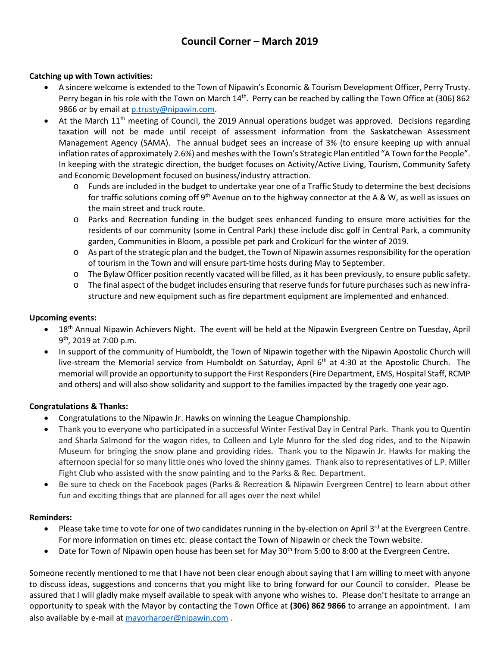## **Catching up with Town activities:**

- A sincere welcome is extended to the Town of Nipawin's Economic & Tourism Development Officer, Perry Trusty. Perry began in his role with the Town on March 14<sup>th</sup>. Perry can be reached by calling the Town Office at (306) 862 9866 or by email a[t p.trusty@nipawin.com.](mailto:p.trusty@nipawin.com)
- At the March 11<sup>th</sup> meeting of Council, the 2019 Annual operations budget was approved. Decisions regarding taxation will not be made until receipt of assessment information from the Saskatchewan Assessment Management Agency (SAMA). The annual budget sees an increase of 3% (to ensure keeping up with annual inflation rates of approximately 2.6%) and meshes with the Town's Strategic Plan entitled "A Town for the People". In keeping with the strategic direction, the budget focuses on Activity/Active Living, Tourism, Community Safety and Economic Development focused on business/industry attraction.
	- o Funds are included in the budget to undertake year one of a Traffic Study to determine the best decisions for traffic solutions coming off  $9<sup>th</sup>$  Avenue on to the highway connector at the A & W, as well as issues on the main street and truck route.
	- o Parks and Recreation funding in the budget sees enhanced funding to ensure more activities for the residents of our community (some in Central Park) these include disc golf in Central Park, a community garden, Communities in Bloom, a possible pet park and Crokicurl for the winter of 2019.
	- $\circ$  As part of the strategic plan and the budget, the Town of Nipawin assumes responsibility for the operation of tourism in the Town and will ensure part-time hosts during May to September.
	- o The Bylaw Officer position recently vacated will be filled, as it has been previously, to ensure public safety.
	- o The final aspect of the budget includes ensuring that reserve funds for future purchases such as new infrastructure and new equipment such as fire department equipment are implemented and enhanced.

## **Upcoming events:**

- 18<sup>th</sup> Annual Nipawin Achievers Night. The event will be held at the Nipawin Evergreen Centre on Tuesday, April 9th, 2019 at 7:00 p.m.
- In support of the community of Humboldt, the Town of Nipawin together with the Nipawin Apostolic Church will live-stream the Memorial service from Humboldt on Saturday, April 6<sup>th</sup> at 4:30 at the Apostolic Church. The memorial will provide an opportunity to support the First Responders (Fire Department, EMS, Hospital Staff, RCMP and others) and will also show solidarity and support to the families impacted by the tragedy one year ago.

# **Congratulations & Thanks:**

- Congratulations to the Nipawin Jr. Hawks on winning the League Championship.
- Thank you to everyone who participated in a successful Winter Festival Day in Central Park. Thank you to Quentin and Sharla Salmond for the wagon rides, to Colleen and Lyle Munro for the sled dog rides, and to the Nipawin Museum for bringing the snow plane and providing rides. Thank you to the Nipawin Jr. Hawks for making the afternoon special for so many little ones who loved the shinny games. Thank also to representatives of L.P. Miller Fight Club who assisted with the snow painting and to the Parks & Rec. Department.
- Be sure to check on the Facebook pages (Parks & Recreation & Nipawin Evergreen Centre) to learn about other fun and exciting things that are planned for all ages over the next while!

### **Reminders:**

- Please take time to vote for one of two candidates running in the by-election on April  $3^{rd}$  at the Evergreen Centre. For more information on times etc. please contact the Town of Nipawin or check the Town website.
- Date for Town of Nipawin open house has been set for May 30<sup>th</sup> from 5:00 to 8:00 at the Evergreen Centre.

Someone recently mentioned to me that I have not been clear enough about saying that I am willing to meet with anyone to discuss ideas, suggestions and concerns that you might like to bring forward for our Council to consider. Please be assured that I will gladly make myself available to speak with anyone who wishes to. Please don't hesitate to arrange an opportunity to speak with the Mayor by contacting the Town Office at **(306) 862 9866** to arrange an appointment. I am also available by e-mail a[t mayorharper@nipawin.com](mailto:mayorharper@nipawin.com) .